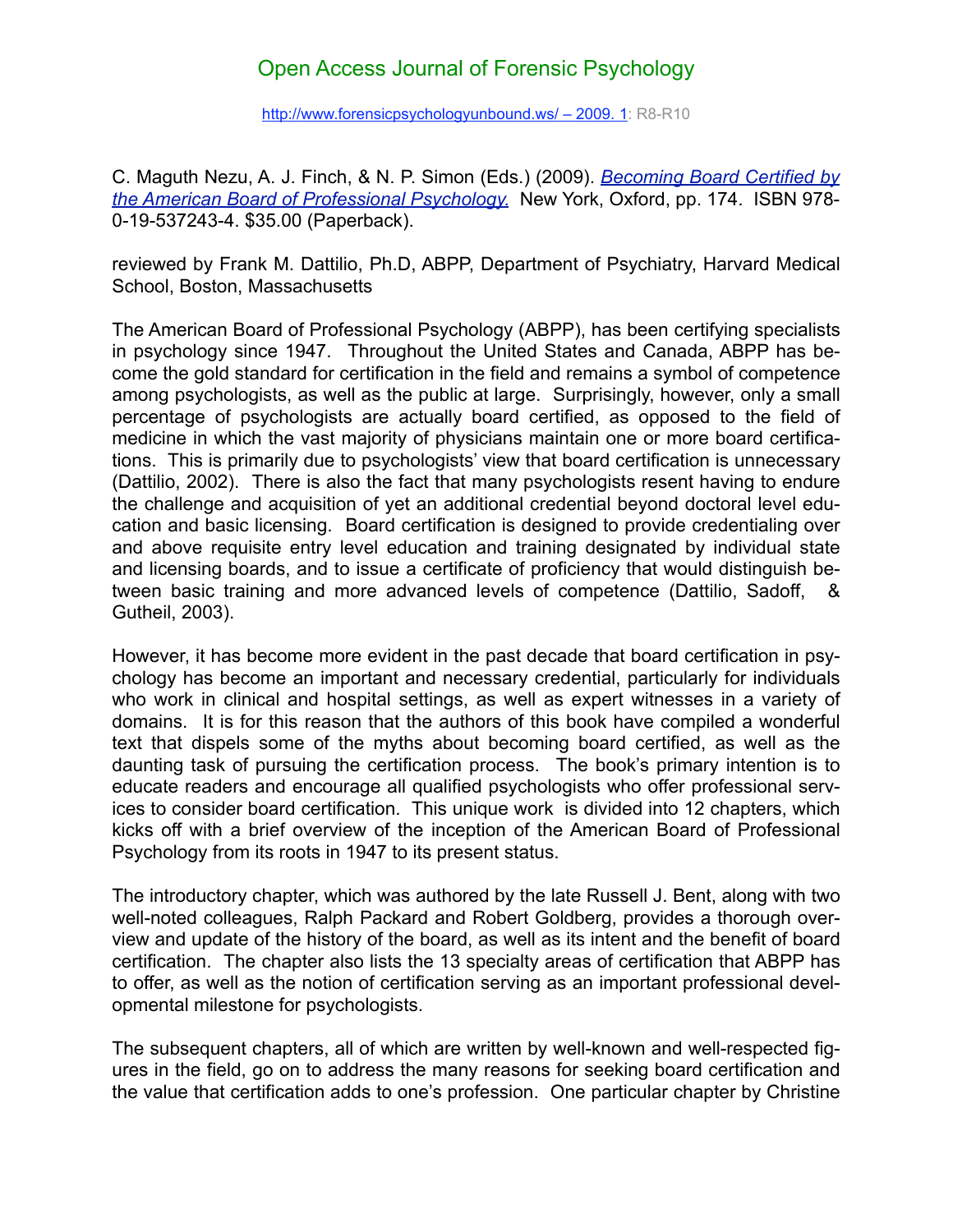## [Open Access Journal of Forensic Psychology](http://www.forensicpsychologyunbound.ws/)

http://www.forensicpsychologyunbound.ws/ - 2009. 1: R8-R10

C. Maguth Nezu, A. J. Finch, & N. P. Simon (Eds.) (2009). *[Becoming Board Certified by](http://www.oup.com/us/catalog/general/subject/Psychology/Clinical/?view=usa&ci=9780195372434)  [the American Board of Professional Psychology.](http://www.oup.com/us/catalog/general/subject/Psychology/Clinical/?view=usa&ci=9780195372434)* New York, Oxford, pp. 174. ISBN 978- 0-19-537243-4. \$35.00 (Paperback).

reviewed by Frank M. Dattilio, Ph.D, ABPP, Department of Psychiatry, Harvard Medical School, Boston, Massachusetts

The American Board of Professional Psychology (ABPP), has been certifying specialists in psychology since 1947. Throughout the United States and Canada, ABPP has become the gold standard for certification in the field and remains a symbol of competence among psychologists, as well as the public at large. Surprisingly, however, only a small percentage of psychologists are actually board certified, as opposed to the field of medicine in which the vast majority of physicians maintain one or more board certifications. This is primarily due to psychologists' view that board certification is unnecessary (Dattilio, 2002). There is also the fact that many psychologists resent having to endure the challenge and acquisition of yet an additional credential beyond doctoral level education and basic licensing. Board certification is designed to provide credentialing over and above requisite entry level education and training designated by individual state and licensing boards, and to issue a certificate of proficiency that would distinguish between basic training and more advanced levels of competence (Dattilio, Sadoff, & Gutheil, 2003).

However, it has become more evident in the past decade that board certification in psychology has become an important and necessary credential, particularly for individuals who work in clinical and hospital settings, as well as expert witnesses in a variety of domains. It is for this reason that the authors of this book have compiled a wonderful text that dispels some of the myths about becoming board certified, as well as the daunting task of pursuing the certification process. The book's primary intention is to educate readers and encourage all qualified psychologists who offer professional services to consider board certification. This unique work is divided into 12 chapters, which kicks off with a brief overview of the inception of the American Board of Professional Psychology from its roots in 1947 to its present status.

The introductory chapter, which was authored by the late Russell J. Bent, along with two well-noted colleagues, Ralph Packard and Robert Goldberg, provides a thorough overview and update of the history of the board, as well as its intent and the benefit of board certification. The chapter also lists the 13 specialty areas of certification that ABPP has to offer, as well as the notion of certification serving as an important professional developmental milestone for psychologists.

The subsequent chapters, all of which are written by well-known and well-respected figures in the field, go on to address the many reasons for seeking board certification and the value that certification adds to one's profession. One particular chapter by Christine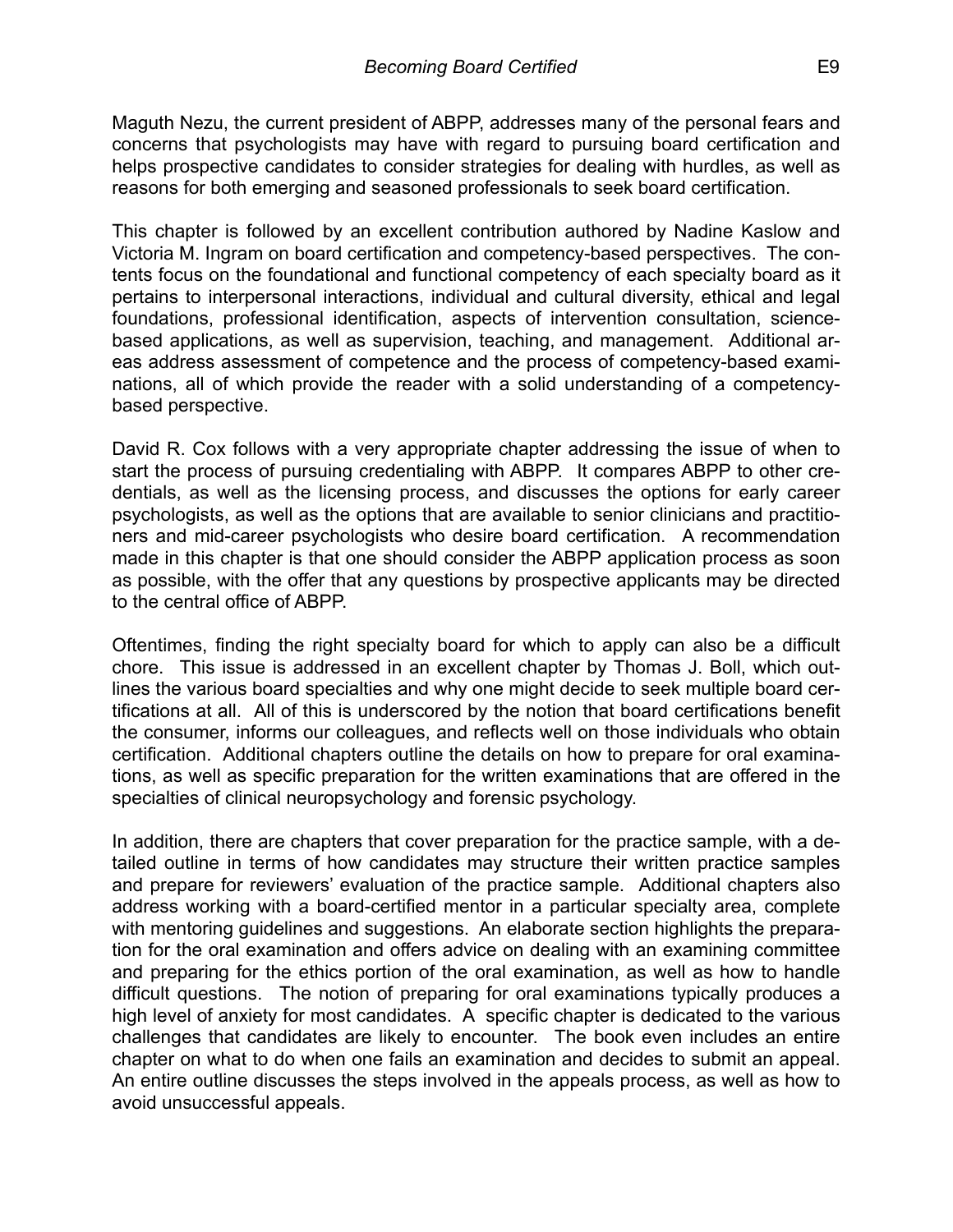Maguth Nezu, the current president of ABPP, addresses many of the personal fears and concerns that psychologists may have with regard to pursuing board certification and helps prospective candidates to consider strategies for dealing with hurdles, as well as reasons for both emerging and seasoned professionals to seek board certification.

This chapter is followed by an excellent contribution authored by Nadine Kaslow and Victoria M. Ingram on board certification and competency-based perspectives. The contents focus on the foundational and functional competency of each specialty board as it pertains to interpersonal interactions, individual and cultural diversity, ethical and legal foundations, professional identification, aspects of intervention consultation, sciencebased applications, as well as supervision, teaching, and management. Additional areas address assessment of competence and the process of competency-based examinations, all of which provide the reader with a solid understanding of a competencybased perspective.

David R. Cox follows with a very appropriate chapter addressing the issue of when to start the process of pursuing credentialing with ABPP. It compares ABPP to other credentials, as well as the licensing process, and discusses the options for early career psychologists, as well as the options that are available to senior clinicians and practitioners and mid-career psychologists who desire board certification. A recommendation made in this chapter is that one should consider the ABPP application process as soon as possible, with the offer that any questions by prospective applicants may be directed to the central office of ABPP.

Oftentimes, finding the right specialty board for which to apply can also be a difficult chore. This issue is addressed in an excellent chapter by Thomas J. Boll, which outlines the various board specialties and why one might decide to seek multiple board certifications at all. All of this is underscored by the notion that board certifications benefit the consumer, informs our colleagues, and reflects well on those individuals who obtain certification. Additional chapters outline the details on how to prepare for oral examinations, as well as specific preparation for the written examinations that are offered in the specialties of clinical neuropsychology and forensic psychology.

In addition, there are chapters that cover preparation for the practice sample, with a detailed outline in terms of how candidates may structure their written practice samples and prepare for reviewers' evaluation of the practice sample. Additional chapters also address working with a board-certified mentor in a particular specialty area, complete with mentoring guidelines and suggestions. An elaborate section highlights the preparation for the oral examination and offers advice on dealing with an examining committee and preparing for the ethics portion of the oral examination, as well as how to handle difficult questions. The notion of preparing for oral examinations typically produces a high level of anxiety for most candidates. A specific chapter is dedicated to the various challenges that candidates are likely to encounter. The book even includes an entire chapter on what to do when one fails an examination and decides to submit an appeal. An entire outline discusses the steps involved in the appeals process, as well as how to avoid unsuccessful appeals.